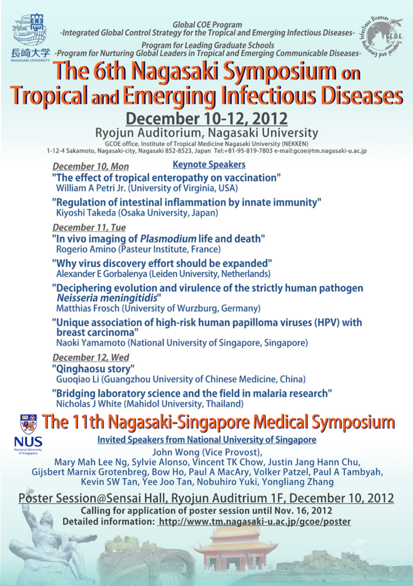Global COE Program



-Integrated Global Control Strategy for the Tropical and Emerging Infectious Diseases-



رسيسية<br>Program for Leading Graduate Schools<br>長崎大学 -Program for Nurturing Global Leaders in Tropical and Emerging Communicable Diseases-

#### The 6th Nagasaki Symposium on **Tropical and Emerging Infectious Diseases**

**December 10-12, 2012**<br>Ryojun Auditorium, Nagasaki University

GCOF office, Institute of Tropical Medicine Nagasaki U

ucus university in a component content of the content of the component content of the component of the S1-95-819-7803 e-mail:gcoe@tm.nagasaki-u.ac.jp

- **Keynote Speakers** December 10, Mon "The effect of tropical enteropathy on vaccination" William A Petri Jr. (University of Virginia, USA)
- "Regulation of intestinal inflammation by innate immunity" Kivoshi Takeda (Osaka University, Japan)

December 11, Tue

- "In vivo imaging of Plasmodium life and death" Rogerio Amino (Pasteur Institute, France)
- "Why virus discovery effort should be expanded" Alexander E Gorbalenya (Leiden University, Netherlands)
- "Deciphering evolution and virulence of the strictly human pathogen Neisseria meningitidis" Matthias Frosch (University of Wurzburg, Germany)
- "Unique association of high-risk human papilloma viruses (HPV) with breast carcinoma' Naoki Yamamoto (National University of Singapore, Singapore)

December 12, Wed "Oinghaosu story" Guogiao Li (Guangzhou University of Chinese Medicine, China)

"Bridging laboratory science and the field in malaria research" Nicholas J White (Mahidol University, Thailand)

#### The 11th Nagasaki-Singapore Medical Symposium **NUS**

**Invited Speakers from National University of Singapore** 

John Wong (Vice Provost). Mary Mah Lee Ng, Sylvie Alonso, Vincent TK Chow, Justin Jang Hann Chu. Gijsbert Marnix Grotenbreg, Bow Ho, Paul A MacAry, Volker Patzel, Paul A Tambyah, Kevin SW Tan, Yee Joo Tan, Nobuhiro Yuki, Yongliang Zhang

Poster Session@Sensai Hall, Ryojun Auditrium 1F, December 10, 2012 Calling for application of poster session until Nov. 16, 2012 Detailed information: http://www.tm.nagasaki-u.ac.jp/gcoe/poster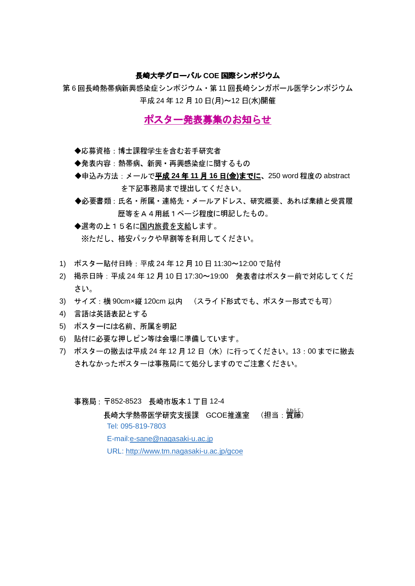### 長崎大学グローバル COE 国際シンポジウム

第6回長崎熱帯病新興感染症シンポジウム・第11回長崎シンガポール医学シンポジウム 平成 24年12月10日(月)~12日(水)開催

# ポスター発表募集のお知らせ

- ◆応募資格:博士課程学生を含む若手研究者
- ◆発表内容:熱帯病、新興·再興感染症に関するもの
- ◆申込み方法: メールで平成 24年11月16日(金)までに、250 word 程度の abstract を下記事務局まで提出してください。
- ◆必要書類:氏名・所属・連絡先・メールアドレス、研究概要、あれば業績と受賞履 歴等をA4用紙1ページ程度に明記したもの。
- ◆選考の上15名に国内旅費を支給します。 ※ただし、格安パックや早割等を利用してください。
- 1) ポスター貼付日時:平成 24年12月10日11:30~12:00 で貼付
- 2) 掲示日時:平成24年12月10日17:30~19:00 発表者はポスター前で対応してくだ さい。
- 3) サイズ:横 90cmx縦 120cm 以内 (スライド形式でも、ポスター形式でも可)
- 4) 言語は英語表記とする
- 5) ポスターには名前、所属を明記
- 6) 貼付に必要な押しピン等は会場に準備しています。
- 7) ポスターの撤去は平成 24年12月12日 (水)に行ってください。13:00までに撤去 されなかったポスターは事務局にて処分しますのでご注意ください。
	- 事務局: 〒852-8523 長崎市坂本1丁目12-4

長崎大学熱帯医学研究支援課 GCOE推進室 (担当: 習識) Tel: 095-819-7803 E-mail:e-sane@nagasaki-u.ac.jp URL: http://www.tm.nagasaki-u.ac.jp/gcoe